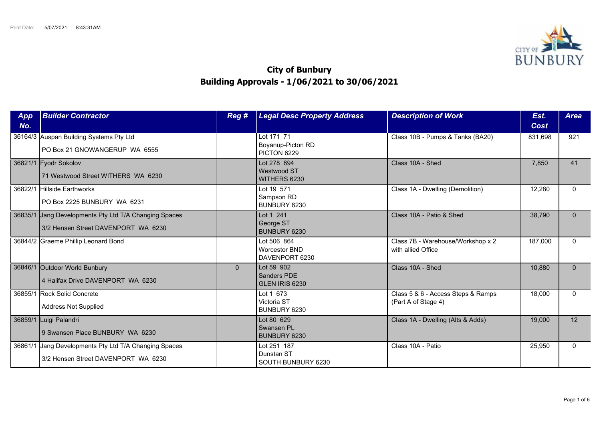

## **City of Bunbury Building Approvals - 1/06/2021 to 30/06/2021**

| App<br>No. | <b>Builder Contractor</b>                                                            | Reg #          | <b>Legal Desc Property Address</b>                    | <b>Description of Work</b>                                | Est.<br>Cost | <b>Area</b> |
|------------|--------------------------------------------------------------------------------------|----------------|-------------------------------------------------------|-----------------------------------------------------------|--------------|-------------|
|            | 36164/3 Auspan Building Systems Pty Ltd<br>PO Box 21 GNOWANGERUP WA 6555             |                | Lot 171 71<br>Boyanup-Picton RD<br>PICTON 6229        | Class 10B - Pumps & Tanks (BA20)                          | 831,698      | 921         |
|            | 36821/1 Fyodr Sokolov<br>71 Westwood Street WITHERS WA 6230                          |                | Lot 278 694<br><b>Westwood ST</b><br>WITHERS 6230     | Class 10A - Shed                                          | 7,850        | 41          |
| 36822/1    | Hillside Earthworks<br>PO Box 2225 BUNBURY WA 6231                                   |                | Lot 19 571<br>Sampson RD<br>BUNBURY 6230              | Class 1A - Dwelling (Demolition)                          | 12,280       | $\Omega$    |
| 36835/1    | Jang Developments Pty Ltd T/A Changing Spaces<br>3/2 Hensen Street DAVENPORT WA 6230 |                | Lot 1 241<br>George ST<br>BUNBURY 6230                | Class 10A - Patio & Shed                                  | 38,790       | $\Omega$    |
|            | 36844/2 Graeme Phillip Leonard Bond                                                  |                | Lot 506 864<br><b>Worcestor BND</b><br>DAVENPORT 6230 | Class 7B - Warehouse/Workshop x 2<br>with allied Office   | 187,000      | $\Omega$    |
|            | 36846/1 Outdoor World Bunbury<br>4 Halifax Drive DAVENPORT WA 6230                   | $\overline{0}$ | Lot 59 902<br>Sanders PDE<br>GLEN IRIS 6230           | Class 10A - Shed                                          | 10,880       | $\Omega$    |
|            | 36855/1 Rock Solid Concrete<br><b>Address Not Supplied</b>                           |                | Lot 1 673<br>Victoria ST<br>BUNBURY 6230              | Class 5 & 6 - Access Steps & Ramps<br>(Part A of Stage 4) | 18,000       | $\Omega$    |
|            | 36859/1 Luigi Palandri<br>9 Swansen Place BUNBURY WA 6230                            |                | Lot 80 629<br>Swansen PL<br>BUNBURY 6230              | Class 1A - Dwelling (Alts & Adds)                         | 19,000       | 12          |
| 36861/1    | Jang Developments Pty Ltd T/A Changing Spaces<br>3/2 Hensen Street DAVENPORT WA 6230 |                | Lot 251 187<br>Dunstan ST<br>SOUTH BUNBURY 6230       | Class 10A - Patio                                         | 25,950       | $\Omega$    |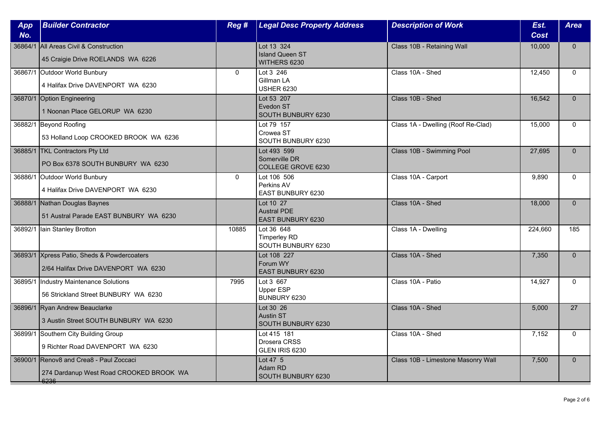| App<br>No. | <b>Builder Contractor</b>                                                                  | Reg #       | <b>Legal Desc Property Address</b>                          | <b>Description of Work</b>         | Est.<br><b>Cost</b> | <b>Area</b>  |
|------------|--------------------------------------------------------------------------------------------|-------------|-------------------------------------------------------------|------------------------------------|---------------------|--------------|
|            | 36864/1 All Areas Civil & Construction<br>45 Craigie Drive ROELANDS WA 6226                |             | Lot 13 324<br><b>Island Queen ST</b><br>WITHERS 6230        | Class 10B - Retaining Wall         | 10,000              | $\mathbf{0}$ |
|            | 36867/1 Outdoor World Bunbury<br>4 Halifax Drive DAVENPORT WA 6230                         | $\Omega$    | Lot 3 246<br>Gillman LA<br><b>USHER 6230</b>                | Class 10A - Shed                   | 12,450              | $\Omega$     |
|            | 36870/1 Option Engineering<br>1 Noonan Place GELORUP WA 6230                               |             | Lot 53 207<br>Evedon ST<br>SOUTH BUNBURY 6230               | Class 10B - Shed                   | 16,542              | $\Omega$     |
|            | 36882/1 Beyond Roofing<br>53 Holland Loop CROOKED BROOK WA 6236                            |             | Lot 79 157<br>Crowea ST<br>SOUTH BUNBURY 6230               | Class 1A - Dwelling (Roof Re-Clad) | 15,000              | $\Omega$     |
|            | 36885/1 TKL Contractors Pty Ltd<br>PO Box 6378 SOUTH BUNBURY WA 6230                       |             | Lot 493 599<br>Somerville DR<br><b>COLLEGE GROVE 6230</b>   | Class 10B - Swimming Pool          | 27,695              | $\Omega$     |
| 36886/1    | Outdoor World Bunbury<br>4 Halifax Drive DAVENPORT WA 6230                                 | $\mathbf 0$ | Lot 106 506<br>Perkins AV<br>EAST BUNBURY 6230              | Class 10A - Carport                | 9,890               | $\mathbf{0}$ |
|            | 36888/1 Nathan Douglas Baynes<br>51 Austral Parade EAST BUNBURY WA 6230                    |             | Lot 10 27<br><b>Austral PDE</b><br><b>EAST BUNBURY 6230</b> | Class 10A - Shed                   | 18,000              | $\mathbf{0}$ |
| 36892/1    | Iain Stanley Brotton                                                                       | 10885       | Lot 36 648<br><b>Timperley RD</b><br>SOUTH BUNBURY 6230     | Class 1A - Dwelling                | 224,660             | 185          |
|            | 36893/1 Xpress Patio, Sheds & Powdercoaters<br>2/64 Halifax Drive DAVENPORT WA 6230        |             | Lot 108 227<br>Forum WY<br>EAST BUNBURY 6230                | Class 10A - Shed                   | 7,350               | $\mathbf{0}$ |
| 36895/1    | Industry Maintenance Solutions<br>56 Strickland Street BUNBURY WA 6230                     | 7995        | Lot 3 667<br>Upper ESP<br>BUNBURY 6230                      | Class 10A - Patio                  | 14,927              | $\mathbf{0}$ |
|            | 36896/1 Ryan Andrew Beauclarke<br>3 Austin Street SOUTH BUNBURY WA 6230                    |             | Lot 30 26<br><b>Austin ST</b><br>SOUTH BUNBURY 6230         | Class 10A - Shed                   | 5,000               | 27           |
|            | 36899/1 Southern City Building Group<br>9 Richter Road DAVENPORT WA 6230                   |             | Lot 415 181<br>Drosera CRSS<br>GLEN IRIS 6230               | Class 10A - Shed                   | 7,152               | $\Omega$     |
|            | 36900/1 Renov8 and Crea8 - Paul Zoccaci<br>274 Dardanup West Road CROOKED BROOK WA<br>6236 |             | Lot 47 5<br>Adam RD<br>SOUTH BUNBURY 6230                   | Class 10B - Limestone Masonry Wall | 7,500               | $\mathbf{0}$ |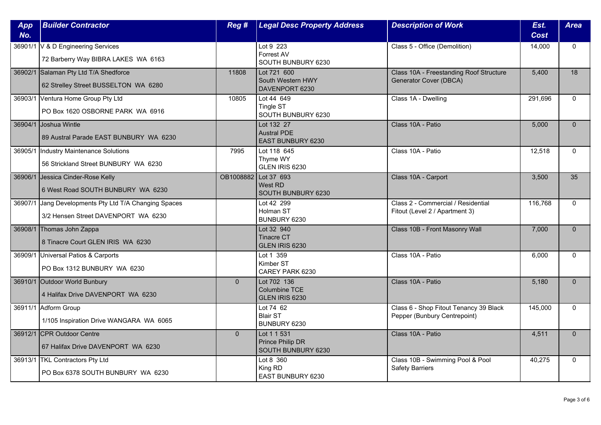| App<br>No. | <b>Builder Contractor</b>                                                                    | Reg #                | <b>Legal Desc Property Address</b>                    | <b>Description of Work</b>                                             | Est.<br><b>Cost</b> | <b>Area</b>  |
|------------|----------------------------------------------------------------------------------------------|----------------------|-------------------------------------------------------|------------------------------------------------------------------------|---------------------|--------------|
|            | 36901/1 V & D Engineering Services<br>72 Barberry Way BIBRA LAKES WA 6163                    |                      | Lot 9 223<br>Forrest AV<br>SOUTH BUNBURY 6230         | Class 5 - Office (Demolition)                                          | 14,000              | $\mathbf{0}$ |
|            | 36902/1 Salaman Pty Ltd T/A Shedforce<br>62 Strelley Street BUSSELTON WA 6280                | 11808                | Lot 721 600<br>South Western HWY<br>DAVENPORT 6230    | Class 10A - Freestanding Roof Structure<br>Generator Cover (DBCA)      | 5.400               | 18           |
|            | 36903/1 Ventura Home Group Pty Ltd<br>PO Box 1620 OSBORNE PARK WA 6916                       | 10805                | Lot 44 649<br>Tingle ST<br>SOUTH BUNBURY 6230         | Class 1A - Dwelling                                                    | 291,696             | $\Omega$     |
|            | 36904/1 Joshua Wintle<br>89 Austral Parade EAST BUNBURY WA 6230                              |                      | Lot 132 27<br><b>Austral PDE</b><br>EAST BUNBURY 6230 | Class 10A - Patio                                                      | 5,000               | $\mathbf{0}$ |
| 36905/1    | Industry Maintenance Solutions<br>56 Strickland Street BUNBURY WA 6230                       | 7995                 | Lot 118 645<br>Thyme WY<br>GLEN IRIS 6230             | Class 10A - Patio                                                      | 12,518              | $\Omega$     |
|            | 36906/1 Jessica Cinder-Rose Kelly<br>6 West Road SOUTH BUNBURY WA 6230                       | OB1008882 Lot 37 693 | West RD<br>SOUTH BUNBURY 6230                         | Class 10A - Carport                                                    | 3,500               | 35           |
|            | 36907/1 Jang Developments Pty Ltd T/A Changing Spaces<br>3/2 Hensen Street DAVENPORT WA 6230 |                      | Lot 42 299<br>Holman ST<br>BUNBURY 6230               | Class 2 - Commercial / Residential<br>Fitout (Level 2 / Apartment 3)   | 116,768             | $\mathbf 0$  |
|            | 36908/1 Thomas John Zappa<br>8 Tinacre Court GLEN IRIS WA 6230                               |                      | Lot 32 940<br><b>Tinacre CT</b><br>GLEN IRIS 6230     | Class 10B - Front Masonry Wall                                         | 7,000               | $\mathbf{0}$ |
|            | 36909/1 Universal Patios & Carports<br>PO Box 1312 BUNBURY WA 6230                           |                      | Lot 1 359<br>Kimber ST<br>CAREY PARK 6230             | Class 10A - Patio                                                      | 6,000               | $\Omega$     |
|            | 36910/1 Outdoor World Bunbury<br>4 Halifax Drive DAVENPORT WA 6230                           | $\overline{0}$       | Lot 702 136<br>Columbine TCE<br>GLEN IRIS 6230        | Class 10A - Patio                                                      | 5,180               | $\mathbf{0}$ |
|            | 36911/1 Adform Group<br>1/105 Inspiration Drive WANGARA WA 6065                              |                      | Lot 74 62<br><b>Blair ST</b><br>BUNBURY 6230          | Class 6 - Shop Fitout Tenancy 39 Black<br>Pepper (Bunbury Centrepoint) | 145,000             | $\mathbf{0}$ |
|            | 36912/1 CPR Outdoor Centre<br>67 Halifax Drive DAVENPORT WA 6230                             | $\Omega$             | Lot 1 1 531<br>Prince Philip DR<br>SOUTH BUNBURY 6230 | Class 10A - Patio                                                      | 4,511               | $\Omega$     |
|            | 36913/1   TKL Contractors Pty Ltd<br>PO Box 6378 SOUTH BUNBURY WA 6230                       |                      | Lot 8 360<br>King RD<br>EAST BUNBURY 6230             | Class 10B - Swimming Pool & Pool<br><b>Safety Barriers</b>             | 40,275              | $\mathbf{0}$ |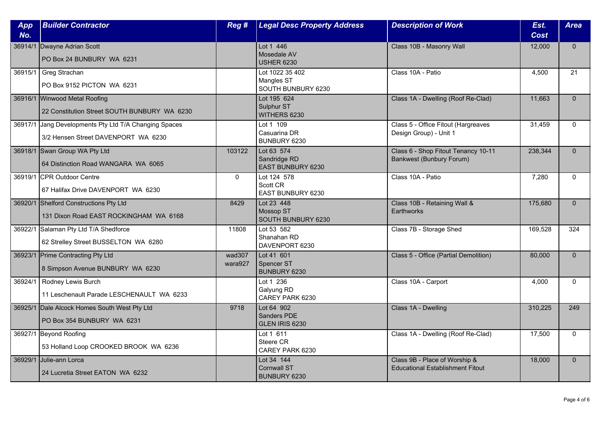| App<br>No. | <b>Builder Contractor</b>                                                                    | Reg#              | <b>Legal Desc Property Address</b>                         | <b>Description of Work</b>                                               | Est.<br><b>Cost</b> | <b>Area</b>     |
|------------|----------------------------------------------------------------------------------------------|-------------------|------------------------------------------------------------|--------------------------------------------------------------------------|---------------------|-----------------|
|            | 36914/1 Dwayne Adrian Scott<br>PO Box 24 BUNBURY WA 6231                                     |                   | Lot 1 446<br>Mosedale AV<br><b>USHER 6230</b>              | Class 10B - Masonry Wall                                                 | 12,000              | $\mathbf{0}$    |
| 36915/1    | Greg Strachan<br>PO Box 9152 PICTON WA 6231                                                  |                   | Lot 1022 35 402<br><b>Mangles ST</b><br>SOUTH BUNBURY 6230 | Class 10A - Patio                                                        | 4,500               | $\overline{21}$ |
|            | 36916/1 Winwood Metal Roofing<br>22 Constitution Street SOUTH BUNBURY WA 6230                |                   | Lot 195 624<br>Sulphur ST<br>WITHERS 6230                  | Class 1A - Dwelling (Roof Re-Clad)                                       | 11,663              | $\mathbf{0}$    |
|            | 36917/1 Jang Developments Pty Ltd T/A Changing Spaces<br>3/2 Hensen Street DAVENPORT WA 6230 |                   | Lot 1 109<br>Casuarina DR<br>BUNBURY 6230                  | Class 5 - Office Fitout (Hargreaves<br>Design Group) - Unit 1            | 31,459              | $\mathbf{0}$    |
|            | 36918/1 Swan Group WA Pty Ltd<br>64 Distinction Road WANGARA WA 6065                         | 103122            | Lot 63 574<br>Sandridge RD<br>EAST BUNBURY 6230            | Class 6 - Shop Fitout Tenancy 10-11<br><b>Bankwest (Bunbury Forum)</b>   | 238,344             | $\Omega$        |
|            | 36919/1 CPR Outdoor Centre<br>67 Halifax Drive DAVENPORT WA 6230                             | $\mathbf{0}$      | Lot 124 578<br>Scott CR<br>EAST BUNBURY 6230               | Class 10A - Patio                                                        | 7,280               | $\Omega$        |
|            | 36920/1 Shelford Constructions Pty Ltd<br>131 Dixon Road EAST ROCKINGHAM WA 6168             | 8429              | Lot 23 448<br>Mossop ST<br>SOUTH BUNBURY 6230              | Class 10B - Retaining Wall &<br><b>Earthworks</b>                        | 175,680             | $\mathbf{0}$    |
|            | 36922/1 Salaman Pty Ltd T/A Shedforce<br>62 Strelley Street BUSSELTON WA 6280                | 11808             | Lot 53 582<br>Shanahan RD<br>DAVENPORT 6230                | Class 7B - Storage Shed                                                  | 169,528             | 324             |
|            | 36923/1 Prime Contracting Pty Ltd<br>8 Simpson Avenue BUNBURY WA 6230                        | wad307<br>wara927 | Lot 41 601<br>Spencer ST<br>BUNBURY 6230                   | Class 5 - Office (Partial Demolition)                                    | 80,000              | $\Omega$        |
| 36924/1    | Rodney Lewis Burch<br>11 Leschenault Parade LESCHENAULT WA 6233                              |                   | Lot 1 236<br>Galyung RD<br>CAREY PARK 6230                 | Class 10A - Carport                                                      | 4,000               | $\mathbf{0}$    |
|            | 36925/1 Dale Alcock Homes South West Pty Ltd<br>PO Box 354 BUNBURY WA 6231                   | 9718              | Lot 64 902<br><b>Sanders PDE</b><br>GLEN IRIS 6230         | Class 1A - Dwelling                                                      | 310,225             | 249             |
|            | 36927/1 Beyond Roofing<br>53 Holland Loop CROOKED BROOK WA 6236                              |                   | Lot 1 611<br>Steere CR<br>CAREY PARK 6230                  | Class 1A - Dwelling (Roof Re-Clad)                                       | 17,500              | $\Omega$        |
| 36929/1    | <b>Julie-ann Lorca</b><br>24 Lucretia Street EATON WA 6232                                   |                   | Lot 34 144<br><b>Cornwall ST</b><br><b>BUNBURY 6230</b>    | Class 9B - Place of Worship &<br><b>Educational Establishment Fitout</b> | 18,000              | $\mathbf{0}$    |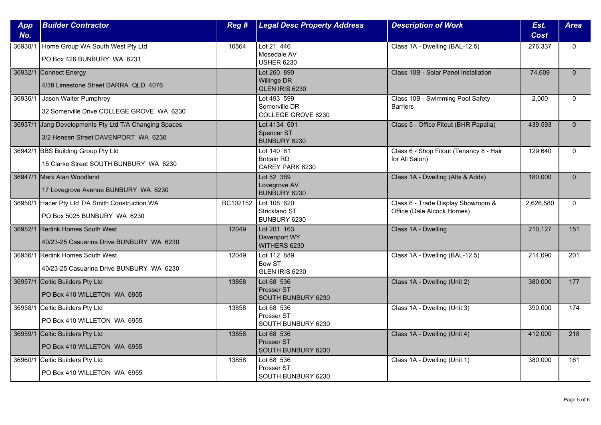| App<br>No. | <b>Builder Contractor</b>                                                                    | Reg #    | <b>Legal Desc Property Address</b>                  | <b>Description of Work</b>                                       | Est.<br><b>Cost</b> | <b>Area</b>      |
|------------|----------------------------------------------------------------------------------------------|----------|-----------------------------------------------------|------------------------------------------------------------------|---------------------|------------------|
| 36930/1    | Home Group WA South West Pty Ltd<br>PO Box 426 BUNBURY WA 6231                               | 10564    | Lot 21 446<br>Mosedale AV<br><b>USHER 6230</b>      | Class 1A - Dwelling (BAL-12.5)                                   | 276,337             | $\mathbf{0}$     |
|            | 36932/1 Connect Energy<br>4/38 Limestone Street DARRA QLD 4076                               |          | Lot 260 890<br>Willinge DR<br>GLEN IRIS 6230        | Class 10B - Solar Panel Installation                             | 74,609              | $\Omega$         |
| 36936/1    | Jason Walter Pumphrey<br>32 Somerville Drive COLLEGE GROVE WA 6230                           |          | Lot 493 599<br>Somerville DR<br>COLLEGE GROVE 6230  | Class 10B - Swimming Pool Safety<br><b>Barriers</b>              | 2,000               | $\Omega$         |
|            | 36937/1 Jang Developments Pty Ltd T/A Changing Spaces<br>3/2 Hensen Street DAVENPORT WA 6230 |          | Lot 4134 601<br>Spencer ST<br>BUNBURY 6230          | Class 5 - Office Fitout (BHR Papalia)                            | 439,593             | $\mathbf{0}$     |
|            | 36942/1 BBS Building Group Pty Ltd<br>15 Clarke Street SOUTH BUNBURY WA 6230                 |          | Lot 140 81<br><b>Brittain RD</b><br>CAREY PARK 6230 | Class 6 - Shop Fitout (Tenancy 8 - Hair<br>for All Salon)        | 129,640             | $\Omega$         |
|            | 36947/1 Mark Alan Woodland<br>17 Lovegrove Avenue BUNBURY WA 6230                            |          | Lot 52 389<br>Lovegrove AV<br>BUNBURY 6230          | Class 1A - Dwelling (Alts & Adds)                                | 180,000             | $\Omega$         |
|            | 36950/1 Hacer Pty Ltd T/A Smith Construction WA<br>PO Box 5025 BUNBURY WA 6230               | BC102152 | Lot 108 620<br>Strickland ST<br>BUNBURY 6230        | Class 6 - Trade Display Showroom &<br>Office (Dale Alcock Homes) | 2,626,580           | 0                |
|            | 36952/1 Redink Homes South West<br>40/23-25 Casuarina Drive BUNBURY WA 6230                  | 12049    | Lot 201 163<br>Davenport WY<br>WITHERS 6230         | Class 1A - Dwelling                                              | 210,127             | 151              |
|            | 36956/1 Redink Homes South West<br>40/23-25 Casuarina Drive BUNBURY WA 6230                  | 12049    | Lot 112 889<br><b>Bow ST</b><br>GLEN IRIS 6230      | Class 1A - Dwelling (BAL-12.5)                                   | 214,090             | 201              |
|            | 36957/1 Celtic Builders Pty Ltd<br>PO Box 410 WILLETON WA 6955                               | 13858    | Lot 68 536<br>Prosser ST<br>SOUTH BUNBURY 6230      | Class 1A - Dwelling (Unit 2)                                     | 380,000             | 177              |
| 36958/1    | Celtic Builders Pty Ltd<br>PO Box 410 WILLETON WA 6955                                       | 13858    | Lot 68 536<br>Prosser ST<br>SOUTH BUNBURY 6230      | Class 1A - Dwelling (Unit 3)                                     | 390,000             | 174              |
|            | 36959/1 Celtic Builders Pty Ltd<br>PO Box 410 WILLETON WA 6955                               | 13858    | Lot 68 536<br>Prosser ST<br>SOUTH BUNBURY 6230      | Class 1A - Dwelling (Unit 4)                                     | 412,000             | $\overline{218}$ |
| 36960/1    | Celtic Builders Pty Ltd<br>PO Box 410 WILLETON WA 6955                                       | 13858    | Lot 68 536<br>Prosser ST<br>SOUTH BUNBURY 6230      | Class 1A - Dwelling (Unit 1)                                     | 380,000             | 161              |